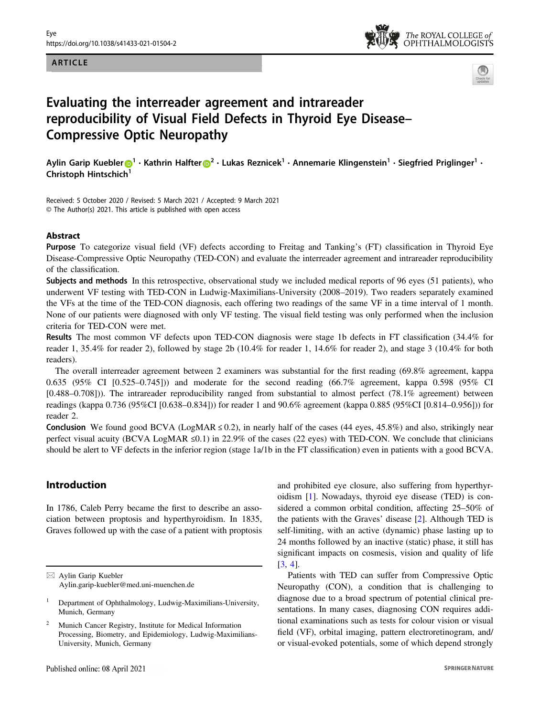#### ARTICLE





# Evaluating the interreader agreement and intrareader reproducibility of Visual Field Defects in Thyroid Eye Disease– Compressive Optic Neuropathy

Aylin Ga[r](http://orcid.org/0000-0002-8676-6781)ip Kuebler  $\bigcirc^1\cdot$  $\bigcirc^1\cdot$  $\bigcirc^1\cdot$  Kathrin Halfter  $\bigcirc^2\cdot$  $\bigcirc^2\cdot$  $\bigcirc^2\cdot$  Lukas Reznicek $^1\cdot$  Annemarie Klingenstein $^1\cdot$  Siegfried Priglinger $^1\cdot$ Christoph Hintschich<sup>1</sup>

Received: 5 October 2020 / Revised: 5 March 2021 / Accepted: 9 March 2021 © The Author(s) 2021. This article is published with open access

## Abstract

Purpose To categorize visual field (VF) defects according to Freitag and Tanking's (FT) classification in Thyroid Eye Disease-Compressive Optic Neuropathy (TED-CON) and evaluate the interreader agreement and intrareader reproducibility of the classification.

Subjects and methods In this retrospective, observational study we included medical reports of 96 eyes (51 patients), who underwent VF testing with TED-CON in Ludwig-Maximilians-University (2008–2019). Two readers separately examined the VFs at the time of the TED-CON diagnosis, each offering two readings of the same VF in a time interval of 1 month. None of our patients were diagnosed with only VF testing. The visual field testing was only performed when the inclusion criteria for TED-CON were met.

Results The most common VF defects upon TED-CON diagnosis were stage 1b defects in FT classification (34.4% for reader 1, 35.4% for reader 2), followed by stage 2b (10.4% for reader 1, 14.6% for reader 2), and stage 3 (10.4% for both readers).

The overall interreader agreement between 2 examiners was substantial for the first reading (69.8% agreement, kappa 0.635 (95% CI [0.525–0.745])) and moderate for the second reading (66.7% agreement, kappa 0.598 (95% CI [0.488–0.708])). The intrareader reproducibility ranged from substantial to almost perfect (78.1% agreement) between readings (kappa 0.736 (95%CI [0.638–0.834])) for reader 1 and 90.6% agreement (kappa 0.885 (95%CI [0.814–0.956])) for reader 2.

**Conclusion** We found good BCVA (LogMAR  $\leq$  0.2), in nearly half of the cases (44 eyes, 45.8%) and also, strikingly near perfect visual acuity (BCVA LogMAR  $\leq 0.1$ ) in 22.9% of the cases (22 eyes) with TED-CON. We conclude that clinicians should be alert to VF defects in the inferior region (stage 1a/1b in the FT classification) even in patients with a good BCVA.

# Introduction

In 1786, Caleb Perry became the first to describe an association between proptosis and hyperthyroidism. In 1835, Graves followed up with the case of a patient with proptosis and prohibited eye closure, also suffering from hyperthyroidism [\[1](#page-7-0)]. Nowadays, thyroid eye disease (TED) is considered a common orbital condition, affecting 25–50% of the patients with the Graves' disease [[2\]](#page-7-0). Although TED is self-limiting, with an active (dynamic) phase lasting up to 24 months followed by an inactive (static) phase, it still has significant impacts on cosmesis, vision and quality of life [\[3](#page-7-0), [4](#page-7-0)].

Patients with TED can suffer from Compressive Optic Neuropathy (CON), a condition that is challenging to diagnose due to a broad spectrum of potential clinical presentations. In many cases, diagnosing CON requires additional examinations such as tests for colour vision or visual field (VF), orbital imaging, pattern electroretinogram, and/ or visual-evoked potentials, some of which depend strongly

 $\boxtimes$  Aylin Garip Kuebler [Aylin.garip-kuebler@med.uni-muenchen.de](mailto:Aylin.garip-kuebler@med.uni-muenchen.de)

<sup>1</sup> Department of Ophthalmology, Ludwig-Maximilians-University, Munich, Germany

<sup>2</sup> Munich Cancer Registry, Institute for Medical Information Processing, Biometry, and Epidemiology, Ludwig-Maximilians-University, Munich, Germany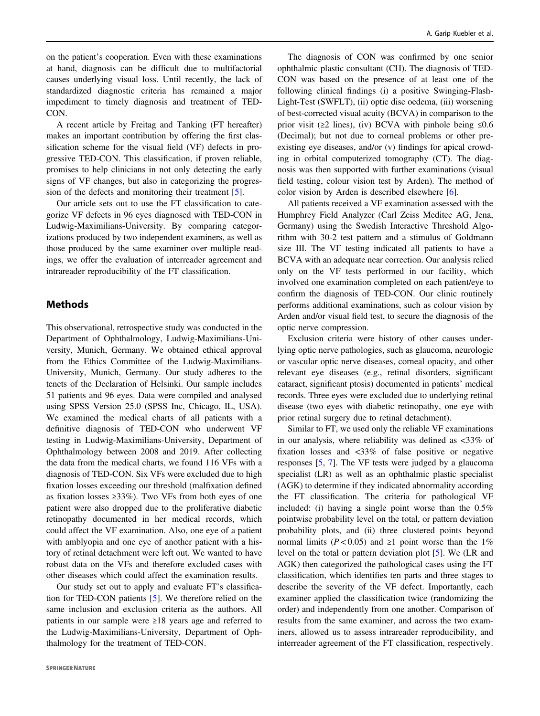on the patient's cooperation. Even with these examinations at hand, diagnosis can be difficult due to multifactorial causes underlying visual loss. Until recently, the lack of standardized diagnostic criteria has remained a major impediment to timely diagnosis and treatment of TED-CON.

A recent article by Freitag and Tanking (FT hereafter) makes an important contribution by offering the first classification scheme for the visual field (VF) defects in progressive TED-CON. This classification, if proven reliable, promises to help clinicians in not only detecting the early signs of VF changes, but also in categorizing the progression of the defects and monitoring their treatment [[5\]](#page-7-0).

Our article sets out to use the FT classification to categorize VF defects in 96 eyes diagnosed with TED-CON in Ludwig-Maximilians-University. By comparing categorizations produced by two independent examiners, as well as those produced by the same examiner over multiple readings, we offer the evaluation of interreader agreement and intrareader reproducibility of the FT classification.

# Methods

This observational, retrospective study was conducted in the Department of Ophthalmology, Ludwig-Maximilians-University, Munich, Germany. We obtained ethical approval from the Ethics Committee of the Ludwig-Maximilians-University, Munich, Germany. Our study adheres to the tenets of the Declaration of Helsinki. Our sample includes 51 patients and 96 eyes. Data were compiled and analysed using SPSS Version 25.0 (SPSS Inc, Chicago, IL, USA). We examined the medical charts of all patients with a definitive diagnosis of TED-CON who underwent VF testing in Ludwig-Maximilians-University, Department of Ophthalmology between 2008 and 2019. After collecting the data from the medical charts, we found 116 VFs with a diagnosis of TED-CON. Six VFs were excluded due to high fixation losses exceeding our threshold (malfixation defined as fixation losses  $\geq$ 33%). Two VFs from both eyes of one patient were also dropped due to the proliferative diabetic retinopathy documented in her medical records, which could affect the VF examination. Also, one eye of a patient with amblyopia and one eye of another patient with a history of retinal detachment were left out. We wanted to have robust data on the VFs and therefore excluded cases with other diseases which could affect the examination results.

Our study set out to apply and evaluate FT's classification for TED-CON patients [\[5](#page-7-0)]. We therefore relied on the same inclusion and exclusion criteria as the authors. All patients in our sample were ≥18 years age and referred to the Ludwig-Maximilians-University, Department of Ophthalmology for the treatment of TED-CON.

The diagnosis of CON was confirmed by one senior ophthalmic plastic consultant (CH). The diagnosis of TED-CON was based on the presence of at least one of the following clinical findings (i) a positive Swinging-Flash-Light-Test (SWFLT), (ii) optic disc oedema, (iii) worsening of best-corrected visual acuity (BCVA) in comparison to the prior visit ( $\geq 2$  lines), (iv) BCVA with pinhole being  $\leq 0.6$ (Decimal); but not due to corneal problems or other preexisting eye diseases, and/or (v) findings for apical crowding in orbital computerized tomography (CT). The diagnosis was then supported with further examinations (visual field testing, colour vision test by Arden). The method of color vision by Arden is described elsewhere [[6\]](#page-7-0).

All patients received a VF examination assessed with the Humphrey Field Analyzer (Carl Zeiss Meditec AG, Jena, Germany) using the Swedish Interactive Threshold Algorithm with 30-2 test pattern and a stimulus of Goldmann size III. The VF testing indicated all patients to have a BCVA with an adequate near correction. Our analysis relied only on the VF tests performed in our facility, which involved one examination completed on each patient/eye to confirm the diagnosis of TED-CON. Our clinic routinely performs additional examinations, such as colour vision by Arden and/or visual field test, to secure the diagnosis of the optic nerve compression.

Exclusion criteria were history of other causes underlying optic nerve pathologies, such as glaucoma, neurologic or vascular optic nerve diseases, corneal opacity, and other relevant eye diseases (e.g., retinal disorders, significant cataract, significant ptosis) documented in patients' medical records. Three eyes were excluded due to underlying retinal disease (two eyes with diabetic retinopathy, one eye with prior retinal surgery due to retinal detachment).

Similar to FT, we used only the reliable VF examinations in our analysis, where reliability was defined as <33% of fixation losses and <33% of false positive or negative responses [\[5](#page-7-0), [7](#page-7-0)]. The VF tests were judged by a glaucoma specialist (LR) as well as an ophthalmic plastic specialist (AGK) to determine if they indicated abnormality according the FT classification. The criteria for pathological VF included: (i) having a single point worse than the 0.5% pointwise probability level on the total, or pattern deviation probability plots, and (ii) three clustered points beyond normal limits ( $P < 0.05$ ) and ≥1 point worse than the 1% level on the total or pattern deviation plot [\[5](#page-7-0)]. We (LR and AGK) then categorized the pathological cases using the FT classification, which identifies ten parts and three stages to describe the severity of the VF defect. Importantly, each examiner applied the classification twice (randomizing the order) and independently from one another. Comparison of results from the same examiner, and across the two examiners, allowed us to assess intrareader reproducibility, and interreader agreement of the FT classification, respectively.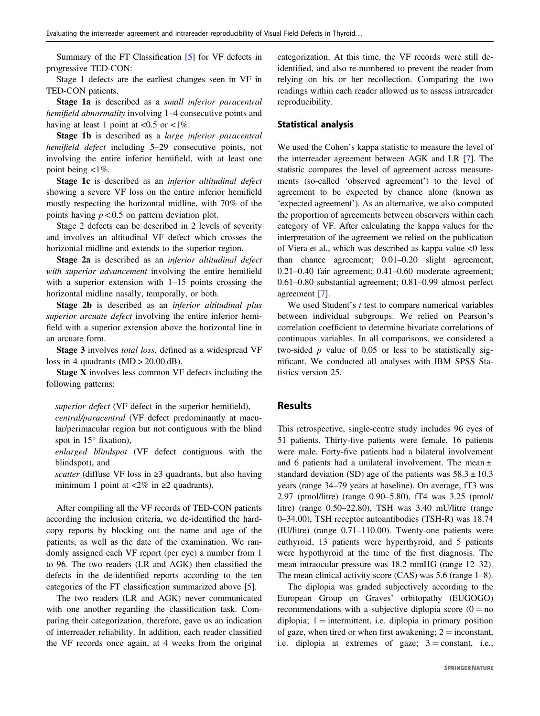Summary of the FT Classification [\[5](#page-7-0)] for VF defects in progressive TED-CON:

Stage 1 defects are the earliest changes seen in VF in TED-CON patients.

Stage 1a is described as a *small inferior paracentral* hemifield abnormality involving 1–4 consecutive points and having at least 1 point at  $\langle 0.5 \text{ or } \langle 1 \rangle$ .

Stage 1b is described as a *large inferior paracentral* hemifield defect including 5–29 consecutive points, not involving the entire inferior hemifield, with at least one point being <1%.

Stage 1c is described as an inferior altitudinal defect showing a severe VF loss on the entire inferior hemifield mostly respecting the horizontal midline, with 70% of the points having  $p < 0.5$  on pattern deviation plot.

Stage 2 defects can be described in 2 levels of severity and involves an altitudinal VF defect which crosses the horizontal midline and extends to the superior region.

Stage 2a is described as an *inferior altitudinal defect* with superior advancement involving the entire hemifield with a superior extension with 1–15 points crossing the horizontal midline nasally, temporally, or both.

Stage 2b is described as an *inferior altitudinal plus* superior arcuate defect involving the entire inferior hemifield with a superior extension above the horizontal line in an arcuate form.

Stage 3 involves total loss, defined as a widespread VF loss in 4 quadrants  $(MD > 20.00$  dB).

Stage X involves less common VF defects including the following patterns:

superior defect (VF defect in the superior hemifield), central/paracentral (VF defect predominantly at macular/perimacular region but not contiguous with the blind spot in  $15^{\circ}$  fixation),

enlarged blindspot (VF defect contiguous with the blindspot), and

scatter (diffuse VF loss in ≥3 quadrants, but also having minimum 1 point at  $\langle 2\% \rangle$  in  $\geq 2$  quadrants).

After compiling all the VF records of TED-CON patients according the inclusion criteria, we de-identified the hardcopy reports by blocking out the name and age of the patients, as well as the date of the examination. We randomly assigned each VF report (per eye) a number from 1 to 96. The two readers (LR and AGK) then classified the defects in the de-identified reports according to the ten categories of the FT classification summarized above [[5\]](#page-7-0).

The two readers (LR and AGK) never communicated with one another regarding the classification task. Comparing their categorization, therefore, gave us an indication of interreader reliability. In addition, each reader classified the VF records once again, at 4 weeks from the original categorization. At this time, the VF records were still deidentified, and also re-numbered to prevent the reader from relying on his or her recollection. Comparing the two readings within each reader allowed us to assess intrareader reproducibility.

## Statistical analysis

We used the Cohen's kappa statistic to measure the level of the interreader agreement between AGK and LR [\[7](#page-7-0)]. The statistic compares the level of agreement across measurements (so-called 'observed agreement') to the level of agreement to be expected by chance alone (known as 'expected agreement'). As an alternative, we also computed the proportion of agreements between observers within each category of VF. After calculating the kappa values for the interpretation of the agreement we relied on the publication of Viera et al., which was described as kappa value <0 less than chance agreement; 0.01–0.20 slight agreement; 0.21–0.40 fair agreement; 0.41–0.60 moderate agreement; 0.61–0.80 substantial agreement; 0.81–0.99 almost perfect agreement [[7\]](#page-7-0).

We used Student's  $t$  test to compare numerical variables between individual subgroups. We relied on Pearson's correlation coefficient to determine bivariate correlations of continuous variables. In all comparisons, we considered a two-sided  $p$  value of 0.05 or less to be statistically significant. We conducted all analyses with IBM SPSS Statistics version 25.

# **Results**

This retrospective, single-centre study includes 96 eyes of 51 patients. Thirty-five patients were female, 16 patients were male. Forty-five patients had a bilateral involvement and 6 patients had a unilateral involvement. The mean ± standard deviation (SD) age of the patients was  $58.3 \pm 10.3$ years (range 34–79 years at baseline). On average, fT3 was 2.97 (pmol/litre) (range 0.90–5.80), fT4 was 3.25 (pmol/ litre) (range 0.50–22.80), TSH was 3.40 mU/litre (range 0–34.00), TSH receptor autoantibodies (TSH-R) was 18.74 (IU/litre) (range 0.71–110.00). Twenty-one patients were euthyroid, 13 patients were hyperthyroid, and 5 patients were hypothyroid at the time of the first diagnosis. The mean intraocular pressure was 18.2 mmHG (range 12–32). The mean clinical activity score (CAS) was 5.6 (range 1–8).

The diplopia was graded subjectively according to the European Group on Graves' orbitopathy (EUGOGO) recommendations with a subjective diplopia score  $(0 = no$ diplopia;  $1 =$  intermittent, i.e. diplopia in primary position of gaze, when tired or when first awakening;  $2 =$  inconstant, i.e. diplopia at extremes of gaze;  $3 =$  constant, i.e.,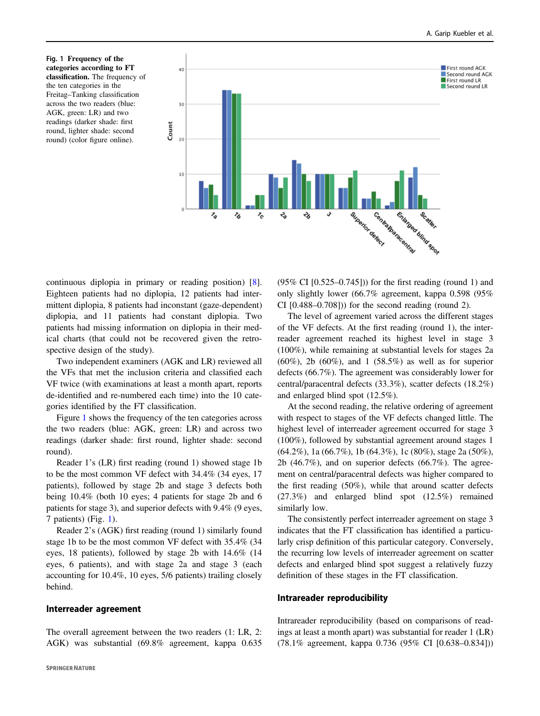Fig. 1 Frequency of the categories according to FT classification. The frequency of the ten categories in the Freitag–Tanking classification across the two readers (blue: AGK, green: LR) and two readings (darker shade: first round, lighter shade: second round) (color figure online).



continuous diplopia in primary or reading position) [\[8](#page-7-0)]. Eighteen patients had no diplopia, 12 patients had intermittent diplopia, 8 patients had inconstant (gaze-dependent) diplopia, and 11 patients had constant diplopia. Two patients had missing information on diplopia in their medical charts (that could not be recovered given the retrospective design of the study).

Two independent examiners (AGK and LR) reviewed all the VFs that met the inclusion criteria and classified each VF twice (with examinations at least a month apart, reports de-identified and re-numbered each time) into the 10 categories identified by the FT classification.

Figure 1 shows the frequency of the ten categories across the two readers (blue: AGK, green: LR) and across two readings (darker shade: first round, lighter shade: second round).

Reader 1's (LR) first reading (round 1) showed stage 1b to be the most common VF defect with 34.4% (34 eyes, 17 patients), followed by stage 2b and stage 3 defects both being 10.4% (both 10 eyes; 4 patients for stage 2b and 6 patients for stage 3), and superior defects with 9.4% (9 eyes, 7 patients) (Fig. 1).

Reader 2's (AGK) first reading (round 1) similarly found stage 1b to be the most common VF defect with 35.4% (34 eyes, 18 patients), followed by stage 2b with 14.6% (14 eyes, 6 patients), and with stage 2a and stage 3 (each accounting for 10.4%, 10 eyes, 5/6 patients) trailing closely behind.

#### Interreader agreement

The overall agreement between the two readers (1: LR, 2: AGK) was substantial (69.8% agreement, kappa 0.635 (95% CI [0.525–0.745])) for the first reading (round 1) and only slightly lower (66.7% agreement, kappa 0.598 (95% CI [0.488–0.708])) for the second reading (round 2).

The level of agreement varied across the different stages of the VF defects. At the first reading (round 1), the interreader agreement reached its highest level in stage 3 (100%), while remaining at substantial levels for stages 2a (60%), 2b (60%), and 1 (58.5%) as well as for superior defects (66.7%). The agreement was considerably lower for central/paracentral defects (33.3%), scatter defects (18.2%) and enlarged blind spot (12.5%).

At the second reading, the relative ordering of agreement with respect to stages of the VF defects changed little. The highest level of interreader agreement occurred for stage 3 (100%), followed by substantial agreement around stages 1 (64.2%), 1a (66.7%), 1b (64.3%), 1c (80%), stage 2a (50%), 2b  $(46.7\%)$ , and on superior defects  $(66.7\%)$ . The agreement on central/paracentral defects was higher compared to the first reading (50%), while that around scatter defects (27.3%) and enlarged blind spot (12.5%) remained similarly low.

The consistently perfect interreader agreement on stage 3 indicates that the FT classification has identified a particularly crisp definition of this particular category. Conversely, the recurring low levels of interreader agreement on scatter defects and enlarged blind spot suggest a relatively fuzzy definition of these stages in the FT classification.

#### Intrareader reproducibility

Intrareader reproducibility (based on comparisons of readings at least a month apart) was substantial for reader 1 (LR) (78.1% agreement, kappa 0.736 (95% CI [0.638–0.834]))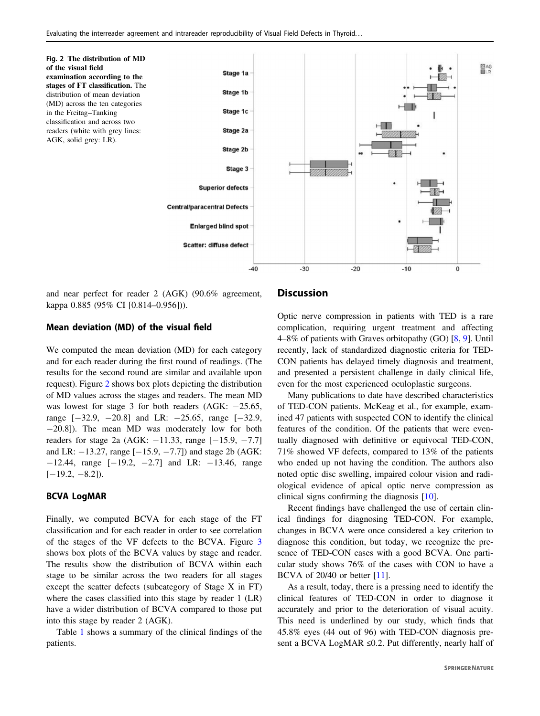

and near perfect for reader 2 (AGK) (90.6% agreement, kappa 0.885 (95% CI [0.814–0.956])).

## Mean deviation (MD) of the visual field

We computed the mean deviation (MD) for each category and for each reader during the first round of readings. (The results for the second round are similar and available upon request). Figure 2 shows box plots depicting the distribution of MD values across the stages and readers. The mean MD was lowest for stage 3 for both readers (AGK:  $-25.65$ , range [−32.9, −20.8] and LR: −25.65, range [−32.9, −20.8]). The mean MD was moderately low for both readers for stage 2a (AGK:  $-11.33$ , range  $[-15.9, -7.7]$ and LR: −13.27, range [−15.9, −7.7]) and stage 2b (AGK: −12.44, range [−19.2, −2.7] and LR: −13.46, range  $[-19.2, -8.2]$ ).

#### BCVA LogMAR

Finally, we computed BCVA for each stage of the FT classification and for each reader in order to see correlation of the stages of the VF defects to the BCVA. Figure [3](#page-5-0) shows box plots of the BCVA values by stage and reader. The results show the distribution of BCVA within each stage to be similar across the two readers for all stages except the scatter defects (subcategory of Stage X in FT) where the cases classified into this stage by reader 1 (LR) have a wider distribution of BCVA compared to those put into this stage by reader 2 (AGK).

Table [1](#page-6-0) shows a summary of the clinical findings of the patients.

# **Discussion**

Optic nerve compression in patients with TED is a rare complication, requiring urgent treatment and affecting 4–8% of patients with Graves orbitopathy (GO) [[8,](#page-7-0) [9\]](#page-7-0). Until recently, lack of standardized diagnostic criteria for TED-CON patients has delayed timely diagnosis and treatment, and presented a persistent challenge in daily clinical life, even for the most experienced oculoplastic surgeons.

Many publications to date have described characteristics of TED-CON patients. McKeag et al., for example, examined 47 patients with suspected CON to identify the clinical features of the condition. Of the patients that were eventually diagnosed with definitive or equivocal TED-CON, 71% showed VF defects, compared to 13% of the patients who ended up not having the condition. The authors also noted optic disc swelling, impaired colour vision and radiological evidence of apical optic nerve compression as clinical signs confirming the diagnosis [\[10](#page-7-0)].

Recent findings have challenged the use of certain clinical findings for diagnosing TED-CON. For example, changes in BCVA were once considered a key criterion to diagnose this condition, but today, we recognize the presence of TED-CON cases with a good BCVA. One particular study shows 76% of the cases with CON to have a BCVA of 20/40 or better [\[11](#page-7-0)].

As a result, today, there is a pressing need to identify the clinical features of TED-CON in order to diagnose it accurately and prior to the deterioration of visual acuity. This need is underlined by our study, which finds that 45.8% eyes (44 out of 96) with TED-CON diagnosis present a BCVA LogMAR ≤0.2. Put differently, nearly half of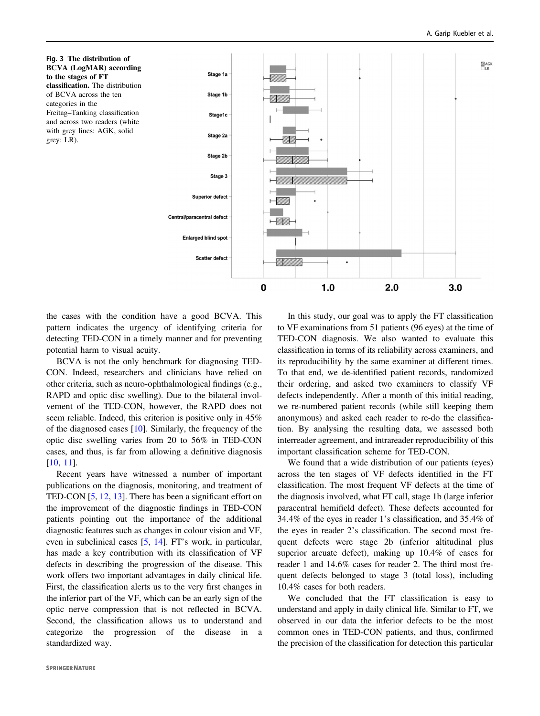<span id="page-5-0"></span>

the cases with the condition have a good BCVA. This pattern indicates the urgency of identifying criteria for detecting TED-CON in a timely manner and for preventing potential harm to visual acuity.

BCVA is not the only benchmark for diagnosing TED-CON. Indeed, researchers and clinicians have relied on other criteria, such as neuro-ophthalmological findings (e.g., RAPD and optic disc swelling). Due to the bilateral involvement of the TED-CON, however, the RAPD does not seem reliable. Indeed, this criterion is positive only in 45% of the diagnosed cases [[10](#page-7-0)]. Similarly, the frequency of the optic disc swelling varies from 20 to 56% in TED-CON cases, and thus, is far from allowing a definitive diagnosis [\[10](#page-7-0), [11](#page-7-0)].

Recent years have witnessed a number of important publications on the diagnosis, monitoring, and treatment of TED-CON [\[5](#page-7-0), [12,](#page-7-0) [13\]](#page-7-0). There has been a significant effort on the improvement of the diagnostic findings in TED-CON patients pointing out the importance of the additional diagnostic features such as changes in colour vision and VF, even in subclinical cases [[5,](#page-7-0) [14\]](#page-8-0). FT's work, in particular, has made a key contribution with its classification of VF defects in describing the progression of the disease. This work offers two important advantages in daily clinical life. First, the classification alerts us to the very first changes in the inferior part of the VF, which can be an early sign of the optic nerve compression that is not reflected in BCVA. Second, the classification allows us to understand and categorize the progression of the disease in a standardized way.

In this study, our goal was to apply the FT classification to VF examinations from 51 patients (96 eyes) at the time of TED-CON diagnosis. We also wanted to evaluate this classification in terms of its reliability across examiners, and its reproducibility by the same examiner at different times. To that end, we de-identified patient records, randomized their ordering, and asked two examiners to classify VF defects independently. After a month of this initial reading, we re-numbered patient records (while still keeping them anonymous) and asked each reader to re-do the classification. By analysing the resulting data, we assessed both interreader agreement, and intrareader reproducibility of this important classification scheme for TED-CON.

We found that a wide distribution of our patients (eyes) across the ten stages of VF defects identified in the FT classification. The most frequent VF defects at the time of the diagnosis involved, what FT call, stage 1b (large inferior paracentral hemifield defect). These defects accounted for 34.4% of the eyes in reader 1's classification, and 35.4% of the eyes in reader 2's classification. The second most frequent defects were stage 2b (inferior altitudinal plus superior arcuate defect), making up 10.4% of cases for reader 1 and 14.6% cases for reader 2. The third most frequent defects belonged to stage 3 (total loss), including 10.4% cases for both readers.

We concluded that the FT classification is easy to understand and apply in daily clinical life. Similar to FT, we observed in our data the inferior defects to be the most common ones in TED-CON patients, and thus, confirmed the precision of the classification for detection this particular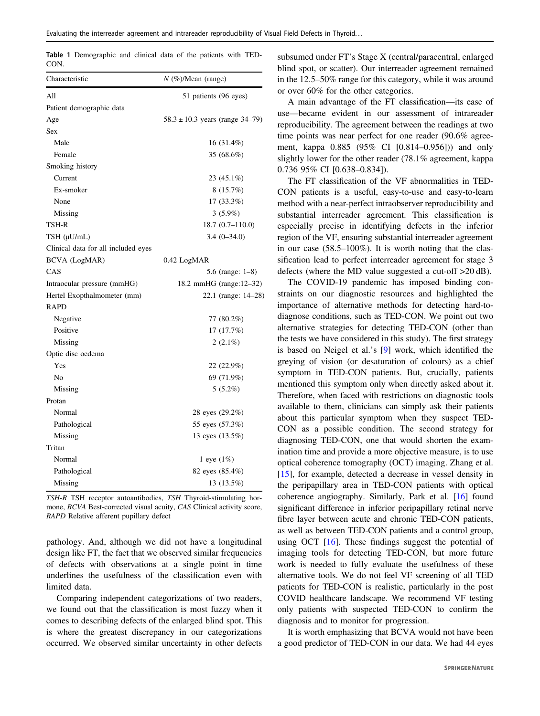<span id="page-6-0"></span>Table 1 Demographic and clinical data of the patients with TED-CON.

| Characteristic                      | $N$ (%)/Mean (range)                |
|-------------------------------------|-------------------------------------|
| All                                 | 51 patients (96 eyes)               |
| Patient demographic data            |                                     |
| Age                                 | $58.3 \pm 10.3$ years (range 34–79) |
| <b>Sex</b>                          |                                     |
| Male                                | 16 (31.4%)                          |
| Female                              | 35 (68.6%)                          |
| Smoking history                     |                                     |
| Current                             | 23 (45.1%)                          |
| Ex-smoker                           | 8(15.7%)                            |
| None                                | $17(33.3\%)$                        |
| Missing                             | $3(5.9\%)$                          |
| TSH-R                               | $18.7(0.7-110.0)$                   |
| TSH (µU/mL)                         | $3.4(0-34.0)$                       |
| Clinical data for all included eyes |                                     |
| <b>BCVA</b> (LogMAR)                | 0.42 LogMAR                         |
| CAS                                 | 5.6 (range: 1-8)                    |
| Intraocular pressure (mmHG)         | 18.2 mmHG (range:12-32)             |
| Hertel Exopthalmometer (mm)         | 22.1 (range: 14–28)                 |
| <b>RAPD</b>                         |                                     |
| Negative                            | 77 (80.2%)                          |
| Positive                            | 17(17.7%)                           |
| Missing                             | $2(2.1\%)$                          |
| Optic disc oedema                   |                                     |
| Yes                                 | 22 (22.9%)                          |
| No                                  | 69 (71.9%)                          |
| Missing                             | $5(5.2\%)$                          |
| Protan                              |                                     |
| Normal                              | 28 eyes (29.2%)                     |
| Pathological                        | 55 eyes (57.3%)                     |
| Missing                             | 13 eyes (13.5%)                     |
| Tritan                              |                                     |
| Normal                              | 1 eye $(1%)$                        |
| Pathological                        | 82 eyes (85.4%)                     |
| Missing                             | 13 (13.5%)                          |

TSH-R TSH receptor autoantibodies, TSH Thyroid-stimulating hormone, BCVA Best-corrected visual acuity, CAS Clinical activity score, RAPD Relative afferent pupillary defect

pathology. And, although we did not have a longitudinal design like FT, the fact that we observed similar frequencies of defects with observations at a single point in time underlines the usefulness of the classification even with limited data.

Comparing independent categorizations of two readers, we found out that the classification is most fuzzy when it comes to describing defects of the enlarged blind spot. This is where the greatest discrepancy in our categorizations occurred. We observed similar uncertainty in other defects subsumed under FT's Stage X (central/paracentral, enlarged blind spot, or scatter). Our interreader agreement remained in the 12.5–50% range for this category, while it was around or over 60% for the other categories.

A main advantage of the FT classification—its ease of use—became evident in our assessment of intrareader reproducibility. The agreement between the readings at two time points was near perfect for one reader (90.6% agreement, kappa 0.885 (95% CI [0.814–0.956])) and only slightly lower for the other reader (78.1% agreement, kappa 0.736 95% CI [0.638–0.834]).

The FT classification of the VF abnormalities in TED-CON patients is a useful, easy-to-use and easy-to-learn method with a near-perfect intraobserver reproducibility and substantial interreader agreement. This classification is especially precise in identifying defects in the inferior region of the VF, ensuring substantial interreader agreement in our case (58.5–100%). It is worth noting that the classification lead to perfect interreader agreement for stage 3 defects (where the MD value suggested a cut-off >20 dB).

The COVID-19 pandemic has imposed binding constraints on our diagnostic resources and highlighted the importance of alternative methods for detecting hard-todiagnose conditions, such as TED-CON. We point out two alternative strategies for detecting TED-CON (other than the tests we have considered in this study). The first strategy is based on Neigel et al.'s [\[9](#page-7-0)] work, which identified the greying of vision (or desaturation of colours) as a chief symptom in TED-CON patients. But, crucially, patients mentioned this symptom only when directly asked about it. Therefore, when faced with restrictions on diagnostic tools available to them, clinicians can simply ask their patients about this particular symptom when they suspect TED-CON as a possible condition. The second strategy for diagnosing TED-CON, one that would shorten the examination time and provide a more objective measure, is to use optical coherence tomography (OCT) imaging. Zhang et al. [\[15](#page-8-0)], for example, detected a decrease in vessel density in the peripapillary area in TED-CON patients with optical coherence angiography. Similarly, Park et al. [\[16](#page-8-0)] found significant difference in inferior peripapillary retinal nerve fibre layer between acute and chronic TED-CON patients, as well as between TED-CON patients and a control group, using OCT  $[16]$  $[16]$ . These findings suggest the potential of imaging tools for detecting TED-CON, but more future work is needed to fully evaluate the usefulness of these alternative tools. We do not feel VF screening of all TED patients for TED-CON is realistic, particularly in the post COVID healthcare landscape. We recommend VF testing only patients with suspected TED-CON to confirm the diagnosis and to monitor for progression.

It is worth emphasizing that BCVA would not have been a good predictor of TED-CON in our data. We had 44 eyes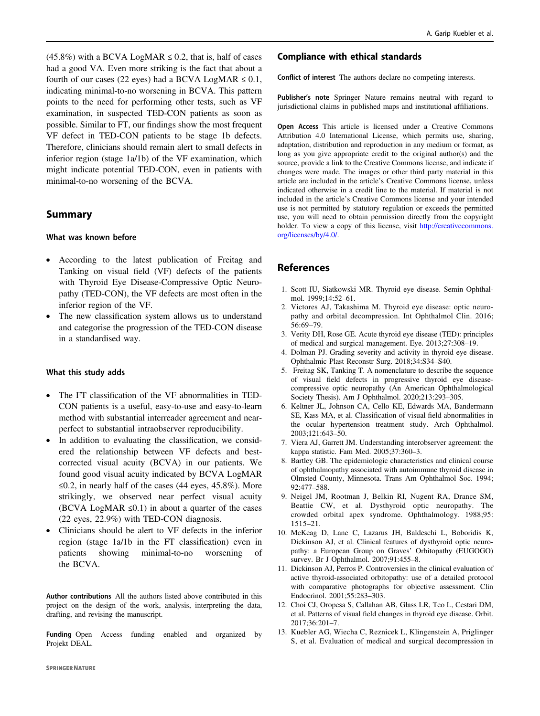<span id="page-7-0"></span> $(45.8\%)$  with a BCVA LogMAR  $\leq 0.2$ , that is, half of cases had a good VA. Even more striking is the fact that about a fourth of our cases (22 eyes) had a BCVA LogMAR  $\leq 0.1$ , indicating minimal-to-no worsening in BCVA. This pattern points to the need for performing other tests, such as VF examination, in suspected TED-CON patients as soon as possible. Similar to FT, our findings show the most frequent VF defect in TED-CON patients to be stage 1b defects. Therefore, clinicians should remain alert to small defects in inferior region (stage 1a/1b) of the VF examination, which might indicate potential TED-CON, even in patients with minimal-to-no worsening of the BCVA.

## Summary

## What was known before

- According to the latest publication of Freitag and Tanking on visual field (VF) defects of the patients with Thyroid Eye Disease-Compressive Optic Neuropathy (TED-CON), the VF defects are most often in the inferior region of the VF.
- The new classification system allows us to understand and categorise the progression of the TED-CON disease in a standardised way.

#### What this study adds

- The FT classification of the VF abnormalities in TED-CON patients is a useful, easy-to-use and easy-to-learn method with substantial interreader agreement and nearperfect to substantial intraobserver reproducibility.
- In addition to evaluating the classification, we considered the relationship between VF defects and bestcorrected visual acuity (BCVA) in our patients. We found good visual acuity indicated by BCVA LogMAR ≤0.2, in nearly half of the cases (44 eyes, 45.8%). More strikingly, we observed near perfect visual acuity (BCVA LogMAR  $\leq 0.1$ ) in about a quarter of the cases (22 eyes, 22.9%) with TED-CON diagnosis.
- Clinicians should be alert to VF defects in the inferior region (stage 1a/1b in the FT classification) even in patients showing minimal-to-no worsening of the BCVA.

Author contributions All the authors listed above contributed in this project on the design of the work, analysis, interpreting the data, drafting, and revising the manuscript.

Funding Open Access funding enabled and organized by Projekt DEAL.

#### Compliance with ethical standards

Conflict of interest The authors declare no competing interests.

Publisher's note Springer Nature remains neutral with regard to jurisdictional claims in published maps and institutional affiliations.

Open Access This article is licensed under a Creative Commons Attribution 4.0 International License, which permits use, sharing, adaptation, distribution and reproduction in any medium or format, as long as you give appropriate credit to the original author(s) and the source, provide a link to the Creative Commons license, and indicate if changes were made. The images or other third party material in this article are included in the article's Creative Commons license, unless indicated otherwise in a credit line to the material. If material is not included in the article's Creative Commons license and your intended use is not permitted by statutory regulation or exceeds the permitted use, you will need to obtain permission directly from the copyright holder. To view a copy of this license, visit [http://creativecommons.](http://creativecommons.org/licenses/by/4.0/) [org/licenses/by/4.0/](http://creativecommons.org/licenses/by/4.0/).

## References

- 1. Scott IU, Siatkowski MR. Thyroid eye disease. Semin Ophthalmol. 1999;14:52–61.
- 2. Victores AJ, Takashima M. Thyroid eye disease: optic neuropathy and orbital decompression. Int Ophthalmol Clin. 2016; 56:69–79.
- 3. Verity DH, Rose GE. Acute thyroid eye disease (TED): principles of medical and surgical management. Eye. 2013;27:308–19.
- 4. Dolman PJ. Grading severity and activity in thyroid eye disease. Ophthalmic Plast Reconstr Surg. 2018;34:S34–S40.
- 5. Freitag SK, Tanking T. A nomenclature to describe the sequence of visual field defects in progressive thyroid eye diseasecompressive optic neuropathy (An American Ophthalmological Society Thesis). Am J Ophthalmol. 2020;213:293–305.
- 6. Keltner JL, Johnson CA, Cello KE, Edwards MA, Bandermann SE, Kass MA, et al. Classification of visual field abnormalities in the ocular hypertension treatment study. Arch Ophthalmol. 2003;121:643–50.
- 7. Viera AJ, Garrett JM. Understanding interobserver agreement: the kappa statistic. Fam Med. 2005;37:360–3.
- 8. Bartley GB. The epidemiologic characteristics and clinical course of ophthalmopathy associated with autoimmune thyroid disease in Olmsted County, Minnesota. Trans Am Ophthalmol Soc. 1994; 92:477–588.
- 9. Neigel JM, Rootman J, Belkin RI, Nugent RA, Drance SM, Beattie CW, et al. Dysthyroid optic neuropathy. The crowded orbital apex syndrome. Ophthalmology. 1988;95: 1515–21.
- 10. McKeag D, Lane C, Lazarus JH, Baldeschi L, Boboridis K, Dickinson AJ, et al. Clinical features of dysthyroid optic neuropathy: a European Group on Graves' Orbitopathy (EUGOGO) survey. Br J Ophthalmol. 2007;91:455–8.
- 11. Dickinson AJ, Perros P. Controversies in the clinical evaluation of active thyroid-associated orbitopathy: use of a detailed protocol with comparative photographs for objective assessment. Clin Endocrinol. 2001;55:283–303.
- 12. Choi CJ, Oropesa S, Callahan AB, Glass LR, Teo L, Cestari DM, et al. Patterns of visual field changes in thyroid eye disease. Orbit. 2017;36:201–7.
- 13. Kuebler AG, Wiecha C, Reznicek L, Klingenstein A, Priglinger S, et al. Evaluation of medical and surgical decompression in